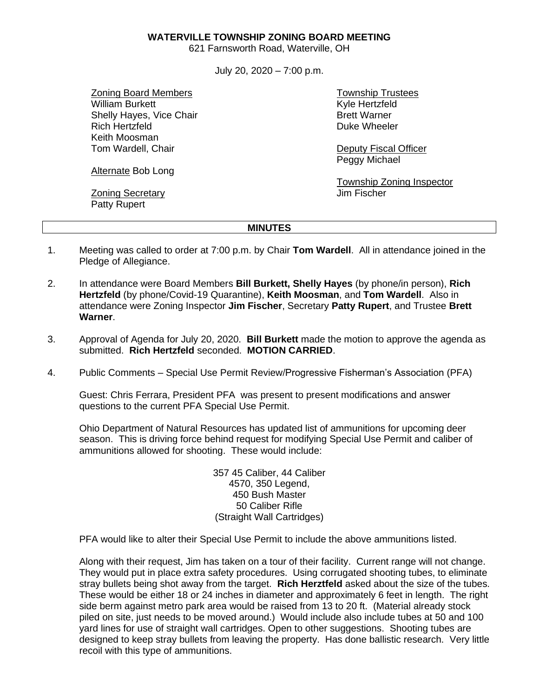**WATERVILLE TOWNSHIP ZONING BOARD MEETING**

621 Farnsworth Road, Waterville, OH

July 20, 2020 – 7:00 p.m.

Zoning Board Members William Burkett Shelly Hayes, Vice Chair Rich Hertzfeld Keith Moosman Tom Wardell, Chair

Alternate Bob Long

Zoning Secretary Patty Rupert

Township Trustees Kyle Hertzfeld Brett Warner Duke Wheeler

Deputy Fiscal Officer Peggy Michael

Township Zoning Inspector Jim Fischer

## **MINUTES**

- 1. Meeting was called to order at 7:00 p.m. by Chair **Tom Wardell**. All in attendance joined in the Pledge of Allegiance.
- 2. In attendance were Board Members **Bill Burkett, Shelly Hayes** (by phone/in person), **Rich Hertzfeld** (by phone/Covid-19 Quarantine), **Keith Moosman**, and **Tom Wardell**. Also in attendance were Zoning Inspector **Jim Fischer**, Secretary **Patty Rupert**, and Trustee **Brett Warner**.
- 3. Approval of Agenda for July 20, 2020. **Bill Burkett** made the motion to approve the agenda as submitted. **Rich Hertzfeld** seconded. **MOTION CARRIED**.
- 4. Public Comments Special Use Permit Review/Progressive Fisherman's Association (PFA)

Guest: Chris Ferrara, President PFA was present to present modifications and answer questions to the current PFA Special Use Permit.

Ohio Department of Natural Resources has updated list of ammunitions for upcoming deer season. This is driving force behind request for modifying Special Use Permit and caliber of ammunitions allowed for shooting. These would include:

> 357 45 Caliber, 44 Caliber 4570, 350 Legend, 450 Bush Master 50 Caliber Rifle (Straight Wall Cartridges)

PFA would like to alter their Special Use Permit to include the above ammunitions listed.

Along with their request, Jim has taken on a tour of their facility. Current range will not change. They would put in place extra safety procedures. Using corrugated shooting tubes, to eliminate stray bullets being shot away from the target. **Rich Herztfeld** asked about the size of the tubes. These would be either 18 or 24 inches in diameter and approximately 6 feet in length. The right side berm against metro park area would be raised from 13 to 20 ft. (Material already stock piled on site, just needs to be moved around.) Would include also include tubes at 50 and 100 yard lines for use of straight wall cartridges. Open to other suggestions. Shooting tubes are designed to keep stray bullets from leaving the property. Has done ballistic research. Very little recoil with this type of ammunitions.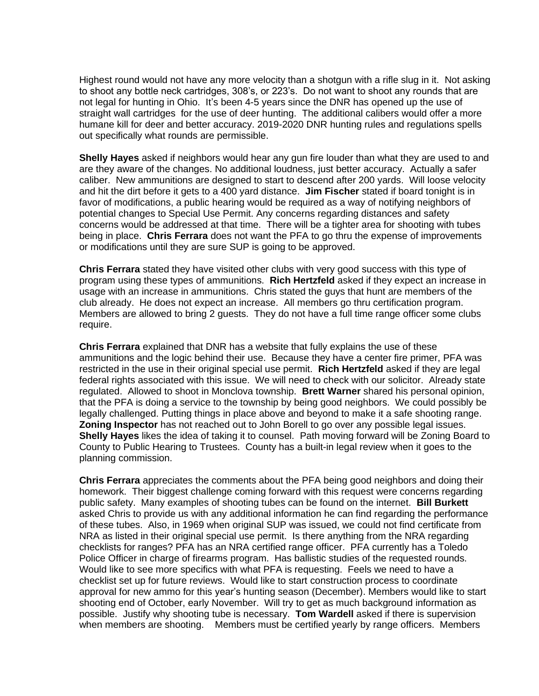Highest round would not have any more velocity than a shotgun with a rifle slug in it. Not asking to shoot any bottle neck cartridges, 308's, or 223's. Do not want to shoot any rounds that are not legal for hunting in Ohio. It's been 4-5 years since the DNR has opened up the use of straight wall cartridges for the use of deer hunting. The additional calibers would offer a more humane kill for deer and better accuracy. 2019-2020 DNR hunting rules and regulations spells out specifically what rounds are permissible.

**Shelly Hayes** asked if neighbors would hear any gun fire louder than what they are used to and are they aware of the changes. No additional loudness, just better accuracy. Actually a safer caliber. New ammunitions are designed to start to descend after 200 yards. Will loose velocity and hit the dirt before it gets to a 400 yard distance. **Jim Fischer** stated if board tonight is in favor of modifications, a public hearing would be required as a way of notifying neighbors of potential changes to Special Use Permit. Any concerns regarding distances and safety concerns would be addressed at that time. There will be a tighter area for shooting with tubes being in place. **Chris Ferrara** does not want the PFA to go thru the expense of improvements or modifications until they are sure SUP is going to be approved.

**Chris Ferrara** stated they have visited other clubs with very good success with this type of program using these types of ammunitions. **Rich Hertzfeld** asked if they expect an increase in usage with an increase in ammunitions. Chris stated the guys that hunt are members of the club already. He does not expect an increase. All members go thru certification program. Members are allowed to bring 2 guests. They do not have a full time range officer some clubs require.

**Chris Ferrara** explained that DNR has a website that fully explains the use of these ammunitions and the logic behind their use. Because they have a center fire primer, PFA was restricted in the use in their original special use permit. **Rich Hertzfeld** asked if they are legal federal rights associated with this issue. We will need to check with our solicitor. Already state regulated. Allowed to shoot in Monclova township. **Brett Warner** shared his personal opinion, that the PFA is doing a service to the township by being good neighbors. We could possibly be legally challenged. Putting things in place above and beyond to make it a safe shooting range. **Zoning Inspector** has not reached out to John Borell to go over any possible legal issues. **Shelly Hayes** likes the idea of taking it to counsel. Path moving forward will be Zoning Board to County to Public Hearing to Trustees. County has a built-in legal review when it goes to the planning commission.

**Chris Ferrara** appreciates the comments about the PFA being good neighbors and doing their homework. Their biggest challenge coming forward with this request were concerns regarding public safety. Many examples of shooting tubes can be found on the internet. **Bill Burkett** asked Chris to provide us with any additional information he can find regarding the performance of these tubes. Also, in 1969 when original SUP was issued, we could not find certificate from NRA as listed in their original special use permit. Is there anything from the NRA regarding checklists for ranges? PFA has an NRA certified range officer. PFA currently has a Toledo Police Officer in charge of firearms program. Has ballistic studies of the requested rounds. Would like to see more specifics with what PFA is requesting. Feels we need to have a checklist set up for future reviews. Would like to start construction process to coordinate approval for new ammo for this year's hunting season (December). Members would like to start shooting end of October, early November. Will try to get as much background information as possible. Justify why shooting tube is necessary. **Tom Wardell** asked if there is supervision when members are shooting. Members must be certified yearly by range officers. Members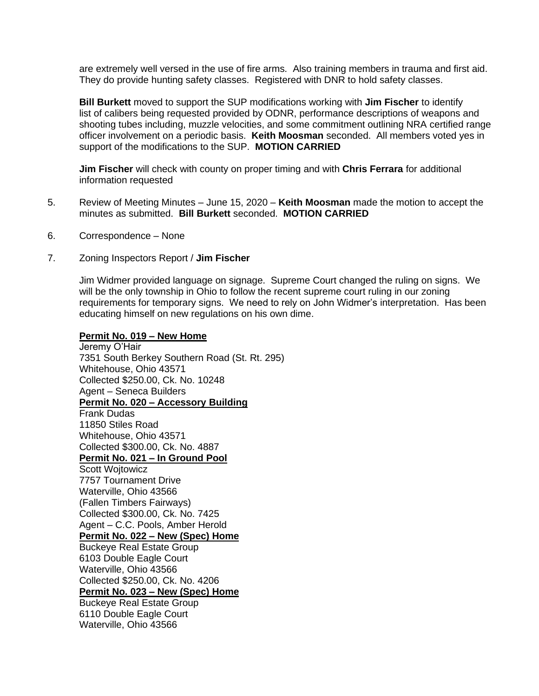are extremely well versed in the use of fire arms. Also training members in trauma and first aid. They do provide hunting safety classes. Registered with DNR to hold safety classes.

**Bill Burkett** moved to support the SUP modifications working with **Jim Fischer** to identify list of calibers being requested provided by ODNR, performance descriptions of weapons and shooting tubes including, muzzle velocities, and some commitment outlining NRA certified range officer involvement on a periodic basis. **Keith Moosman** seconded. All members voted yes in support of the modifications to the SUP. **MOTION CARRIED**

**Jim Fischer** will check with county on proper timing and with **Chris Ferrara** for additional information requested

- 5. Review of Meeting Minutes June 15, 2020 **Keith Moosman** made the motion to accept the minutes as submitted. **Bill Burkett** seconded. **MOTION CARRIED**
- 6. Correspondence None
- 7. Zoning Inspectors Report / **Jim Fischer**

Jim Widmer provided language on signage. Supreme Court changed the ruling on signs. We will be the only township in Ohio to follow the recent supreme court ruling in our zoning requirements for temporary signs. We need to rely on John Widmer's interpretation. Has been educating himself on new regulations on his own dime.

## **Permit No. 019 – New Home**

Jeremy O'Hair 7351 South Berkey Southern Road (St. Rt. 295) Whitehouse, Ohio 43571 Collected \$250.00, Ck. No. 10248 Agent – Seneca Builders **Permit No. 020 – Accessory Building** Frank Dudas 11850 Stiles Road Whitehouse, Ohio 43571 Collected \$300.00, Ck. No. 4887 **Permit No. 021 – In Ground Pool** Scott Wojtowicz 7757 Tournament Drive Waterville, Ohio 43566 (Fallen Timbers Fairways) Collected \$300.00, Ck. No. 7425 Agent – C.C. Pools, Amber Herold **Permit No. 022 – New (Spec) Home** Buckeye Real Estate Group 6103 Double Eagle Court Waterville, Ohio 43566 Collected \$250.00, Ck. No. 4206 **Permit No. 023 – New (Spec) Home** Buckeye Real Estate Group 6110 Double Eagle Court Waterville, Ohio 43566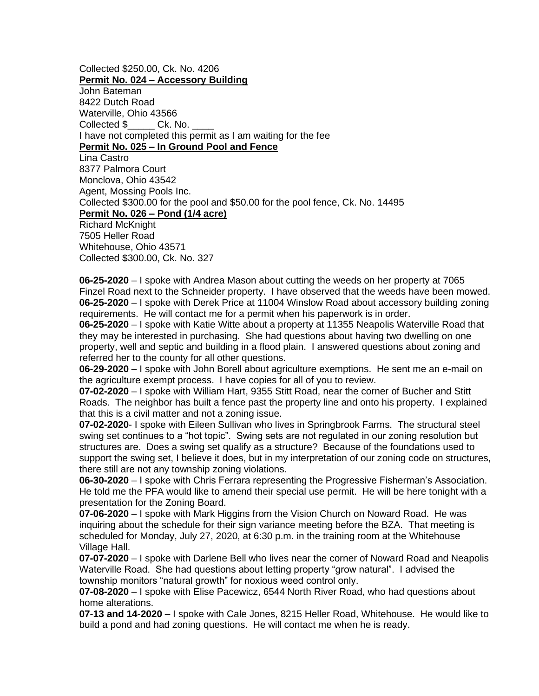Collected \$250.00, Ck. No. 4206 **Permit No. 024 – Accessory Building** John Bateman 8422 Dutch Road Waterville, Ohio 43566 Collected \$\_\_\_\_\_\_ Ck. No. \_ I have not completed this permit as I am waiting for the fee **Permit No. 025 – In Ground Pool and Fence** Lina Castro 8377 Palmora Court Monclova, Ohio 43542 Agent, Mossing Pools Inc. Collected \$300.00 for the pool and \$50.00 for the pool fence, Ck. No. 14495 **Permit No. 026 – Pond (1/4 acre)**  Richard McKnight 7505 Heller Road Whitehouse, Ohio 43571 Collected \$300.00, Ck. No. 327

**06-25-2020** – I spoke with Andrea Mason about cutting the weeds on her property at 7065 Finzel Road next to the Schneider property. I have observed that the weeds have been mowed. **06-25-2020** – I spoke with Derek Price at 11004 Winslow Road about accessory building zoning requirements. He will contact me for a permit when his paperwork is in order.

**06-25-2020** – I spoke with Katie Witte about a property at 11355 Neapolis Waterville Road that they may be interested in purchasing. She had questions about having two dwelling on one property, well and septic and building in a flood plain. I answered questions about zoning and referred her to the county for all other questions.

**06-29-2020** – I spoke with John Borell about agriculture exemptions. He sent me an e-mail on the agriculture exempt process. I have copies for all of you to review.

**07-02-2020** – I spoke with William Hart, 9355 Stitt Road, near the corner of Bucher and Stitt Roads. The neighbor has built a fence past the property line and onto his property. I explained that this is a civil matter and not a zoning issue.

**07-02-2020**- I spoke with Eileen Sullivan who lives in Springbrook Farms. The structural steel swing set continues to a "hot topic". Swing sets are not regulated in our zoning resolution but structures are. Does a swing set qualify as a structure? Because of the foundations used to support the swing set, I believe it does, but in my interpretation of our zoning code on structures, there still are not any township zoning violations.

**06-30-2020** – I spoke with Chris Ferrara representing the Progressive Fisherman's Association. He told me the PFA would like to amend their special use permit. He will be here tonight with a presentation for the Zoning Board.

**07-06-2020** – I spoke with Mark Higgins from the Vision Church on Noward Road. He was inquiring about the schedule for their sign variance meeting before the BZA. That meeting is scheduled for Monday, July 27, 2020, at 6:30 p.m. in the training room at the Whitehouse Village Hall.

**07-07-2020** – I spoke with Darlene Bell who lives near the corner of Noward Road and Neapolis Waterville Road. She had questions about letting property "grow natural". I advised the township monitors "natural growth" for noxious weed control only.

**07-08-2020** – I spoke with Elise Pacewicz, 6544 North River Road, who had questions about home alterations.

**07-13 and 14-2020** – I spoke with Cale Jones, 8215 Heller Road, Whitehouse. He would like to build a pond and had zoning questions. He will contact me when he is ready.